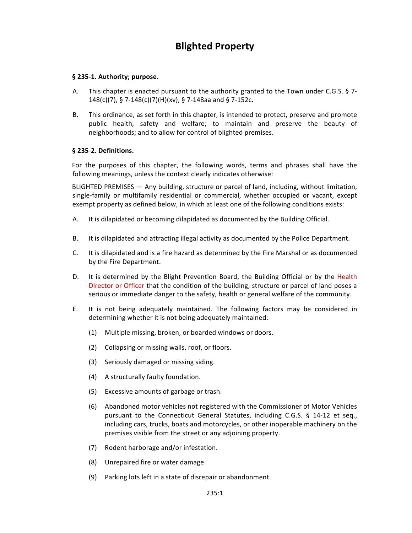# **Blighted Property**

### § 235-1. Authority; purpose.

- A. This chapter is enacted pursuant to the authority granted to the Town under C.G.S.  $\S$  7-148(c)(7), § 7-148(c)(7)(H)(xv), § 7-148aa and § 7-152c.
- B. This ordinance, as set forth in this chapter, is intended to protect, preserve and promote public health, safety and welfare; to maintain and preserve the beauty of neighborhoods; and to allow for control of blighted premises.

### **§ 235-2. Definitions.**

For the purposes of this chapter, the following words, terms and phrases shall have the following meanings, unless the context clearly indicates otherwise:

BLIGHTED PREMISES — Any building, structure or parcel of land, including, without limitation, single-family or multifamily residential or commercial, whether occupied or vacant, except exempt property as defined below, in which at least one of the following conditions exists:

- A. It is dilapidated or becoming dilapidated as documented by the Building Official.
- B. It is dilapidated and attracting illegal activity as documented by the Police Department.
- C. It is dilapidated and is a fire hazard as determined by the Fire Marshal or as documented by the Fire Department.
- D. It is determined by the Blight Prevention Board, the Building Official or by the Health Director or Officer that the condition of the building, structure or parcel of land poses a serious or immediate danger to the safety, health or general welfare of the community.
- E. It is not being adequately maintained. The following factors may be considered in determining whether it is not being adequately maintained:
	- (1) Multiple missing, broken, or boarded windows or doors.
	- (2) Collapsing or missing walls, roof, or floors.
	- (3) Seriously damaged or missing siding.
	- (4) A structurally faulty foundation.
	- (5) Excessive amounts of garbage or trash.
	- (6) Abandoned motor vehicles not registered with the Commissioner of Motor Vehicles pursuant to the Connecticut General Statutes, including C.G.S.  $\S$  14-12 et seq., including cars, trucks, boats and motorcycles, or other inoperable machinery on the premises visible from the street or any adjoining property.
	- (7) Rodent harborage and/or infestation.
	- (8) Unrepaired fire or water damage.
	- (9) Parking lots left in a state of disrepair or abandonment.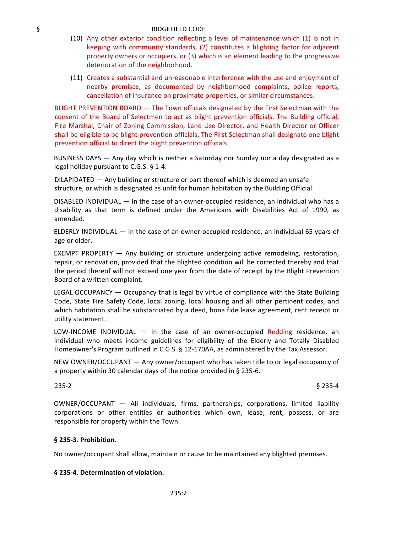### § RIDGEFIELD CODE

- (10) Any other exterior condition reflecting a level of maintenance which (1) is not in keeping with community standards, (2) constitutes a blighting factor for adjacent property owners or occupiers, or (3) which is an element leading to the progressive deterioration of the neighborhood.
- (11) Creates a substantial and unreasonable interference with the use and enjoyment of nearby premises, as documented by neighborhood complaints, police reports, cancellation of insurance on proximate properties, or similar circumstances.

BLIGHT PREVENTION BOARD — The Town officials designated by the First Selectman with the consent of the Board of Selectmen to act as blight prevention officials. The Building official, Fire Marshal, Chair of Zoning Commission, Land Use Director, and Health Director or Officer shall be eligible to be blight prevention officials. The First Selectman shall designate one blight prevention official to direct the blight prevention officials.

BUSINESS DAYS — Any day which is neither a Saturday nor Sunday nor a day designated as a legal holiday pursuant to C.G.S.  $§$  1-4.

DILAPIDATED  $-$  Any building or structure or part thereof which is deemed an unsafe structure, or which is designated as unfit for human habitation by the Building Official.

DISABLED INDIVIDUAL  $-$  In the case of an owner-occupied residence, an individual who has a disability as that term is defined under the Americans with Disabilities Act of 1990, as amended.

ELDERLY INDIVIDUAL  $-$  In the case of an owner-occupied residence, an individual 65 years of age or older.

EXEMPT PROPERTY  $-$  Any building or structure undergoing active remodeling, restoration, repair, or renovation, provided that the blighted condition will be corrected thereby and that the period thereof will not exceed one year from the date of receipt by the Blight Prevention Board of a written complaint.

LEGAL OCCUPANCY  $-$  Occupancy that is legal by virtue of compliance with the State Building Code, State Fire Safety Code, local zoning, local housing and all other pertinent codes, and which habitation shall be substantiated by a deed, bona fide lease agreement, rent receipt or utility statement.

LOW-INCOME INDIVIDUAL  $-$  In the case of an owner-occupied Redding residence, an individual who meets income guidelines for eligibility of the Elderly and Totally Disabled Homeowner's Program outlined in C.G.S.  $\S$  12-170AA, as administered by the Tax Assessor.

NEW OWNER/OCCUPANT — Any owner/occupant who has taken title to or legal occupancy of a property within 30 calendar days of the notice provided in § 235-6.

 $235-2$  § 235-4

OWNER/OCCUPANT - All individuals, firms, partnerships, corporations, limited liability corporations or other entities or authorities which own, lease, rent, possess, or are responsible for property within the Town.

#### **§ 235-3. Prohibition.**

No owner/occupant shall allow, maintain or cause to be maintained any blighted premises.

#### **§ 235-4. Determination of violation.**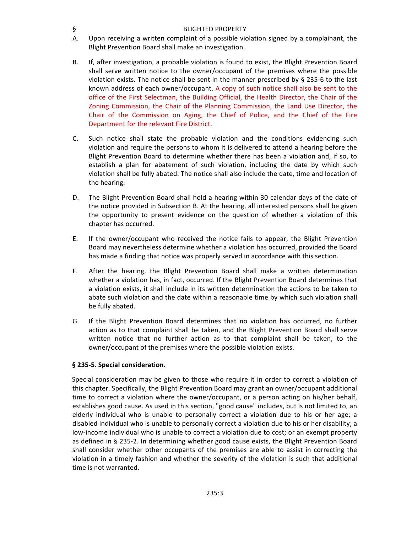### § BLIGHTED PROPERTY

- A. Upon receiving a written complaint of a possible violation signed by a complainant, the Blight Prevention Board shall make an investigation.
- B. If, after investigation, a probable violation is found to exist, the Blight Prevention Board shall serve written notice to the owner/occupant of the premises where the possible violation exists. The notice shall be sent in the manner prescribed by  $\S$  235-6 to the last known address of each owner/occupant. A copy of such notice shall also be sent to the office of the First Selectman, the Building Official, the Health Director, the Chair of the Zoning Commission, the Chair of the Planning Commission, the Land Use Director, the Chair of the Commission on Aging, the Chief of Police, and the Chief of the Fire Department for the relevant Fire District.
- C. Such notice shall state the probable violation and the conditions evidencing such violation and require the persons to whom it is delivered to attend a hearing before the Blight Prevention Board to determine whether there has been a violation and, if so, to establish a plan for abatement of such violation, including the date by which such violation shall be fully abated. The notice shall also include the date, time and location of the hearing.
- D. The Blight Prevention Board shall hold a hearing within 30 calendar days of the date of the notice provided in Subsection B. At the hearing, all interested persons shall be given the opportunity to present evidence on the question of whether a violation of this chapter has occurred.
- E. If the owner/occupant who received the notice fails to appear, the Blight Prevention Board may nevertheless determine whether a violation has occurred, provided the Board has made a finding that notice was properly served in accordance with this section.
- F. After the hearing, the Blight Prevention Board shall make a written determination whether a violation has, in fact, occurred. If the Blight Prevention Board determines that a violation exists, it shall include in its written determination the actions to be taken to abate such violation and the date within a reasonable time by which such violation shall be fully abated.
- G. If the Blight Prevention Board determines that no violation has occurred, no further action as to that complaint shall be taken, and the Blight Prevention Board shall serve written notice that no further action as to that complaint shall be taken, to the owner/occupant of the premises where the possible violation exists.

# **§ 235-5. Special consideration.**

Special consideration may be given to those who require it in order to correct a violation of this chapter. Specifically, the Blight Prevention Board may grant an owner/occupant additional time to correct a violation where the owner/occupant, or a person acting on his/her behalf, establishes good cause. As used in this section, "good cause" includes, but is not limited to, an elderly individual who is unable to personally correct a violation due to his or her age; a disabled individual who is unable to personally correct a violation due to his or her disability; a low-income individual who is unable to correct a violation due to cost; or an exempt property as defined in § 235-2. In determining whether good cause exists, the Blight Prevention Board shall consider whether other occupants of the premises are able to assist in correcting the violation in a timely fashion and whether the severity of the violation is such that additional time is not warranted.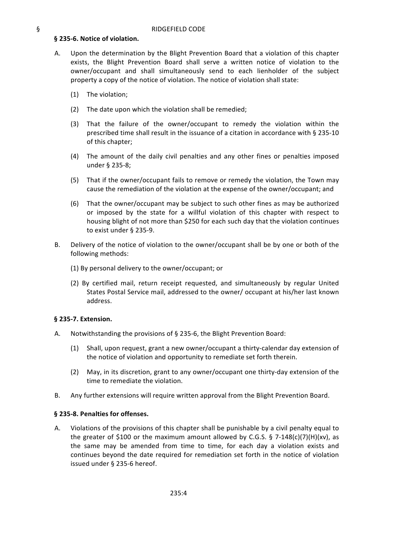### § 235-6. Notice of violation.

- A. Upon the determination by the Blight Prevention Board that a violation of this chapter exists, the Blight Prevention Board shall serve a written notice of violation to the owner/occupant and shall simultaneously send to each lienholder of the subject property a copy of the notice of violation. The notice of violation shall state:
	- (1) The violation;
	- $(2)$  The date upon which the violation shall be remedied;
	- (3) That the failure of the owner/occupant to remedy the violation within the prescribed time shall result in the issuance of a citation in accordance with § 235-10 of this chapter;
	- (4) The amount of the daily civil penalties and any other fines or penalties imposed under § 235-8;
	- (5) That if the owner/occupant fails to remove or remedy the violation, the Town may cause the remediation of the violation at the expense of the owner/occupant; and
	- (6) That the owner/occupant may be subject to such other fines as may be authorized or imposed by the state for a willful violation of this chapter with respect to housing blight of not more than \$250 for each such day that the violation continues to exist under § 235-9.
- B. Delivery of the notice of violation to the owner/occupant shall be by one or both of the following methods:
	- (1) By personal delivery to the owner/occupant; or
	- (2) By certified mail, return receipt requested, and simultaneously by regular United States Postal Service mail, addressed to the owner/ occupant at his/her last known address.

#### **§ 235-7. Extension.**

- A. Notwithstanding the provisions of  $\S$  235-6, the Blight Prevention Board:
	- (1) Shall, upon request, grant a new owner/occupant a thirty-calendar day extension of the notice of violation and opportunity to remediate set forth therein.
	- (2) May, in its discretion, grant to any owner/occupant one thirty-day extension of the time to remediate the violation.
- B. Any further extensions will require written approval from the Blight Prevention Board.

#### § 235-8. Penalties for offenses.

A. Violations of the provisions of this chapter shall be punishable by a civil penalty equal to the greater of \$100 or the maximum amount allowed by C.G.S. § 7-148(c)(7)(H)(xv), as the same may be amended from time to time, for each day a violation exists and continues beyond the date required for remediation set forth in the notice of violation issued under § 235-6 hereof.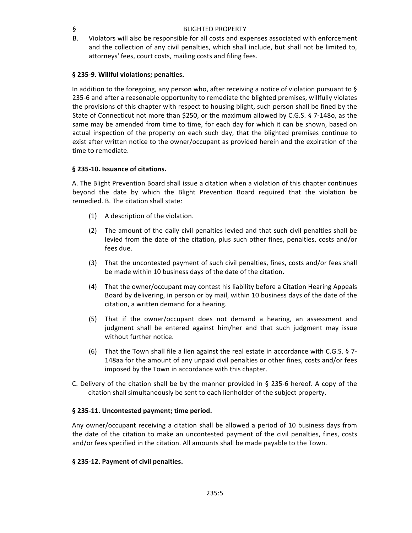### § BLIGHTED PROPERTY

B. Violators will also be responsible for all costs and expenses associated with enforcement and the collection of any civil penalties, which shall include, but shall not be limited to, attorneys' fees, court costs, mailing costs and filing fees.

# § 235-9. Willful violations; penalties.

In addition to the foregoing, any person who, after receiving a notice of violation pursuant to  $\S$ 235-6 and after a reasonable opportunity to remediate the blighted premises, willfully violates the provisions of this chapter with respect to housing blight, such person shall be fined by the State of Connecticut not more than \$250, or the maximum allowed by C.G.S. § 7-148o, as the same may be amended from time to time, for each day for which it can be shown, based on actual inspection of the property on each such day, that the blighted premises continue to exist after written notice to the owner/occupant as provided herein and the expiration of the time to remediate.

# § 235-10. Issuance of citations.

A. The Blight Prevention Board shall issue a citation when a violation of this chapter continues beyond the date by which the Blight Prevention Board required that the violation be remedied. B. The citation shall state:

- $(1)$  A description of the violation.
- (2) The amount of the daily civil penalties levied and that such civil penalties shall be levied from the date of the citation, plus such other fines, penalties, costs and/or fees due.
- (3) That the uncontested payment of such civil penalties, fines, costs and/or fees shall be made within 10 business days of the date of the citation.
- (4) That the owner/occupant may contest his liability before a Citation Hearing Appeals Board by delivering, in person or by mail, within 10 business days of the date of the citation, a written demand for a hearing.
- (5) That if the owner/occupant does not demand a hearing, an assessment and judgment shall be entered against him/her and that such judgment may issue without further notice.
- (6) That the Town shall file a lien against the real estate in accordance with C.G.S. § 7-148aa for the amount of any unpaid civil penalties or other fines, costs and/or fees imposed by the Town in accordance with this chapter.
- C. Delivery of the citation shall be by the manner provided in § 235-6 hereof. A copy of the citation shall simultaneously be sent to each lienholder of the subject property.

# § 235-11. Uncontested payment; time period.

Any owner/occupant receiving a citation shall be allowed a period of 10 business days from the date of the citation to make an uncontested payment of the civil penalties, fines, costs and/or fees specified in the citation. All amounts shall be made payable to the Town.

# § 235-12. Payment of civil penalties.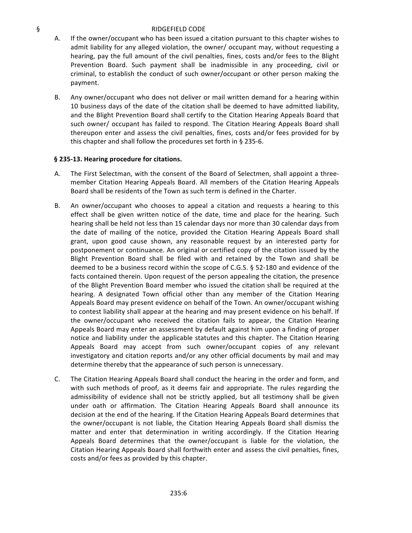#### § RIDGEFIELD CODE

- A. If the owner/occupant who has been issued a citation pursuant to this chapter wishes to admit liability for any alleged violation, the owner/ occupant may, without requesting a hearing, pay the full amount of the civil penalties, fines, costs and/or fees to the Blight Prevention Board. Such payment shall be inadmissible in any proceeding, civil or criminal, to establish the conduct of such owner/occupant or other person making the payment.
- B. Any owner/occupant who does not deliver or mail written demand for a hearing within 10 business days of the date of the citation shall be deemed to have admitted liability, and the Blight Prevention Board shall certify to the Citation Hearing Appeals Board that such owner/ occupant has failed to respond. The Citation Hearing Appeals Board shall thereupon enter and assess the civil penalties, fines, costs and/or fees provided for by this chapter and shall follow the procedures set forth in  $\S$  235-6.

### § 235-13. Hearing procedure for citations.

- A. The First Selectman, with the consent of the Board of Selectmen, shall appoint a threemember Citation Hearing Appeals Board. All members of the Citation Hearing Appeals Board shall be residents of the Town as such term is defined in the Charter.
- B. An owner/occupant who chooses to appeal a citation and requests a hearing to this effect shall be given written notice of the date, time and place for the hearing. Such hearing shall be held not less than 15 calendar days nor more than 30 calendar days from the date of mailing of the notice, provided the Citation Hearing Appeals Board shall grant, upon good cause shown, any reasonable request by an interested party for postponement or continuance. An original or certified copy of the citation issued by the Blight Prevention Board shall be filed with and retained by the Town and shall be deemed to be a business record within the scope of C.G.S.  $\S$  52-180 and evidence of the facts contained therein. Upon request of the person appealing the citation, the presence of the Blight Prevention Board member who issued the citation shall be required at the hearing. A designated Town official other than any member of the Citation Hearing Appeals Board may present evidence on behalf of the Town. An owner/occupant wishing to contest liability shall appear at the hearing and may present evidence on his behalf. If the owner/occupant who received the citation fails to appear, the Citation Hearing Appeals Board may enter an assessment by default against him upon a finding of proper notice and liability under the applicable statutes and this chapter. The Citation Hearing Appeals Board may accept from such owner/occupant copies of any relevant investigatory and citation reports and/or any other official documents by mail and may determine thereby that the appearance of such person is unnecessary.
- C. The Citation Hearing Appeals Board shall conduct the hearing in the order and form, and with such methods of proof, as it deems fair and appropriate. The rules regarding the admissibility of evidence shall not be strictly applied, but all testimony shall be given under oath or affirmation. The Citation Hearing Appeals Board shall announce its decision at the end of the hearing. If the Citation Hearing Appeals Board determines that the owner/occupant is not liable, the Citation Hearing Appeals Board shall dismiss the matter and enter that determination in writing accordingly. If the Citation Hearing Appeals Board determines that the owner/occupant is liable for the violation, the Citation Hearing Appeals Board shall forthwith enter and assess the civil penalties, fines, costs and/or fees as provided by this chapter.